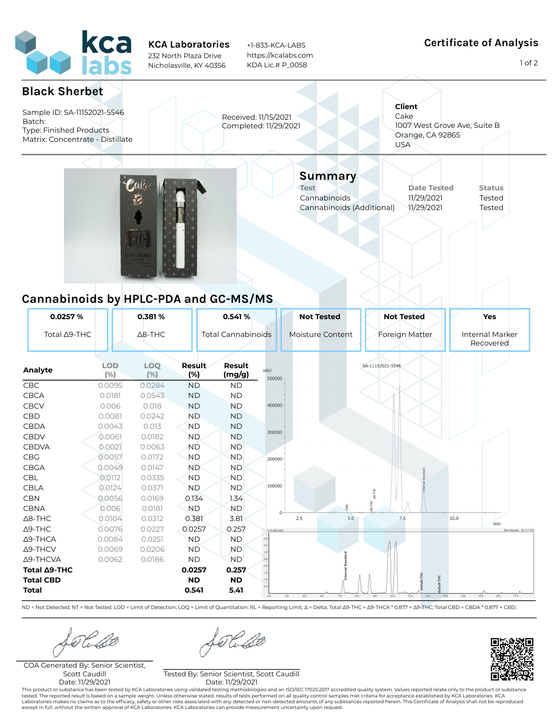

KCA Laboratories 232 North Plaza Drive Nicholasville, KY 40356

+1-833-KCA-LABS https://kcalabs.com KDA Lic.# P\_0058

## Certificate of Analysis

1 of 2



ND = Not Detected; NT = Not Tested; LOD = Limit of Detection; LOQ = Limit of Quantitation; RL = Reporting Limit; Δ = Delta; Total Δ9-THC = Δ9-THCA \* 0.877 + Δ9-THC; Total CBD = CBDA \* 0.877 + CBD;

Kube

Kubl

COA Generated By: Senior Scientist, Scott Caudill Date: 11/29/2021

Tested By: Senior Scientist, Scott Caudill Date: 11/29/2021

This product or substance has been tested by KCA Laboratories using validated testing methodologies and an ISO/IEC 17025:2017 accredited quality system. Values reported relate only to the product or substance tested. The reported result is based on a sample weight. Unless otherwise stated, results of tests performed on all quality control samples met criteria for acceptance established by KCA Laboratories. KCA<br>Laboratories make except in full, without the written approval of KCA Laboratories. KCA Laboratories can provide measurement uncertainty upon request.